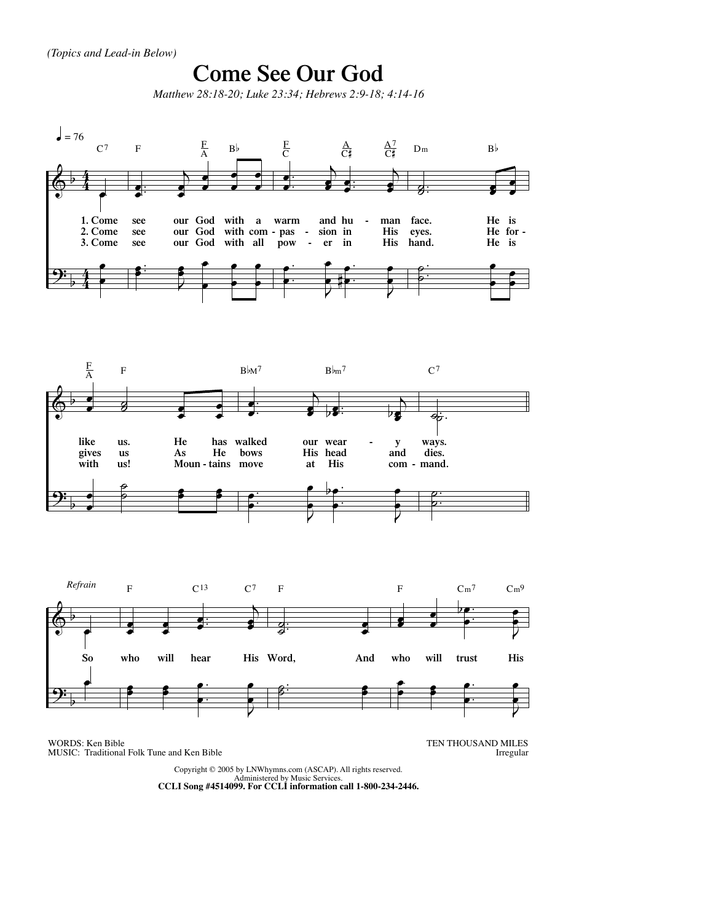

WORDS: Ken Bible MUSIC: Traditional Folk Tune and Ken Bible TEN THOUSAND MILES Irregular

Copyright © 2005 by LNWhymns.com (ASCAP). All rights reserved. Administered by Music Services. **CCLI Song #4514099. For CCLI information call 1-800-234-2446.**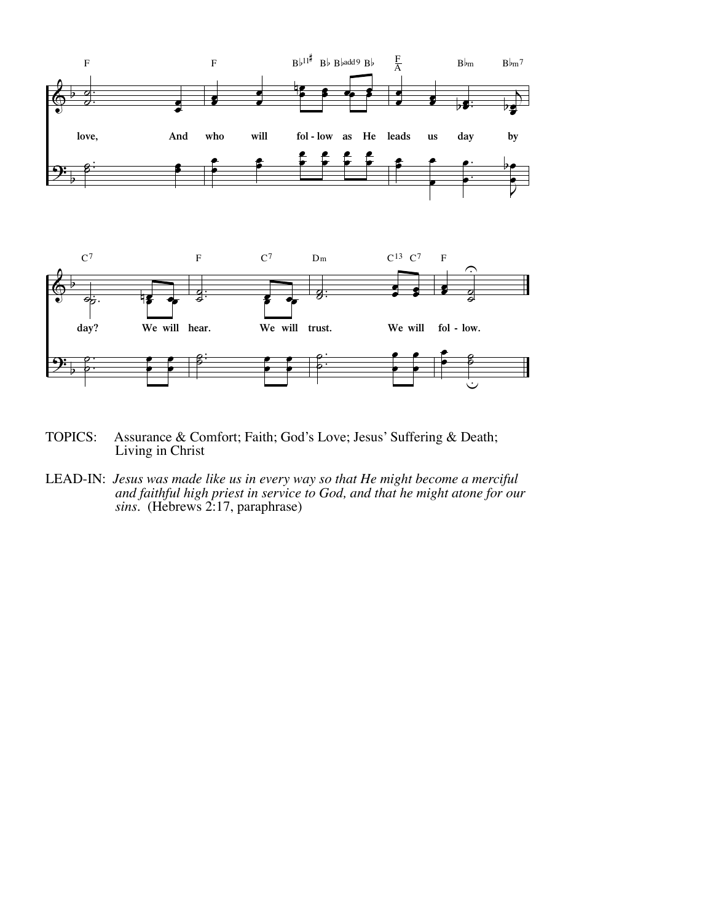



- TOPICS: Assurance & Comfort; Faith; God's Love; Jesus' Suffering & Death; Living in Christ
- LEAD-IN: *Jesus was made like us in every way so that He might become a merciful and faithful high priest in service to God, and that he might atone for our sins.* (Hebrews 2:17, paraphrase)